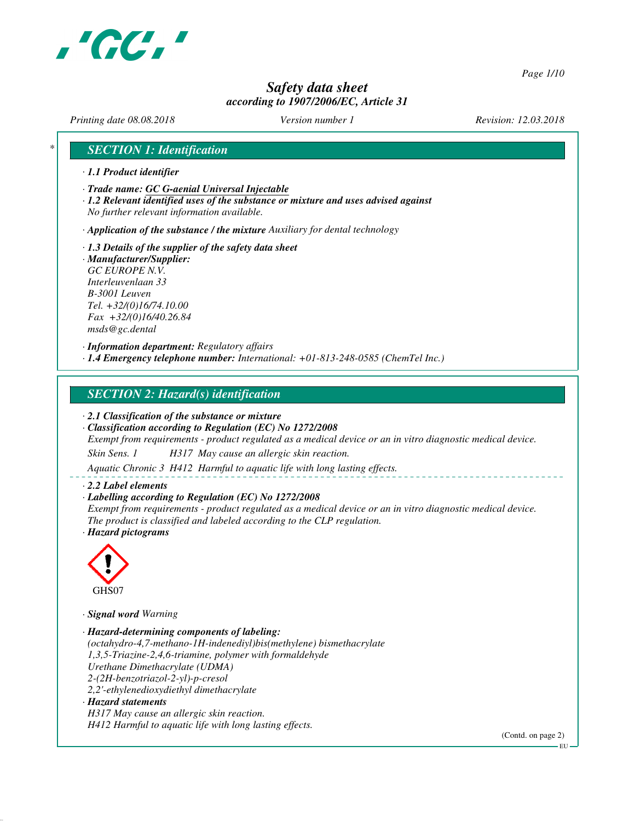

*Page 1/10*

# *Safety data sheet according to 1907/2006/EC, Article 31*

*Printing date 08.08.2018 Version number 1 Revision: 12.03.2018*

# *\* SECTION 1: Identification*

- *· 1.1 Product identifier*
- *· Trade name: GC G-aenial Universal Injectable*
- *· 1.2 Relevant identified uses of the substance or mixture and uses advised against No further relevant information available.*

*· Application of the substance / the mixture Auxiliary for dental technology*

- *· 1.3 Details of the supplier of the safety data sheet · Manufacturer/Supplier: GC EUROPE N.V.*
- *Interleuvenlaan 33 B-3001 Leuven Tel. +32/(0)16/74.10.00 Fax +32/(0)16/40.26.84 msds@gc.dental*

*· Information department: Regulatory affairs*

*· 1.4 Emergency telephone number: International: +01-813-248-0585 (ChemTel Inc.)*

## *SECTION 2: Hazard(s) identification*

*· 2.1 Classification of the substance or mixture*

*· Classification according to Regulation (EC) No 1272/2008*

*Exempt from requirements - product regulated as a medical device or an in vitro diagnostic medical device.*

*Skin Sens. 1 H317 May cause an allergic skin reaction.*

*Aquatic Chronic 3 H412 Harmful to aquatic life with long lasting effects.*

## *· 2.2 Label elements*

*· Labelling according to Regulation (EC) No 1272/2008*

*Exempt from requirements - product regulated as a medical device or an in vitro diagnostic medical device. The product is classified and labeled according to the CLP regulation.*

*· Hazard pictograms*



*· Signal word Warning*

- *· Hazard-determining components of labeling: (octahydro-4,7-methano-1H-indenediyl)bis(methylene) bismethacrylate 1,3,5-Triazine-2,4,6-triamine, polymer with formaldehyde Urethane Dimethacrylate (UDMA) 2-(2H-benzotriazol-2-yl)-p-cresol 2,2'-ethylenedioxydiethyl dimethacrylate · Hazard statements*
- *H317 May cause an allergic skin reaction. H412 Harmful to aquatic life with long lasting effects.*

(Contd. on page 2)

EU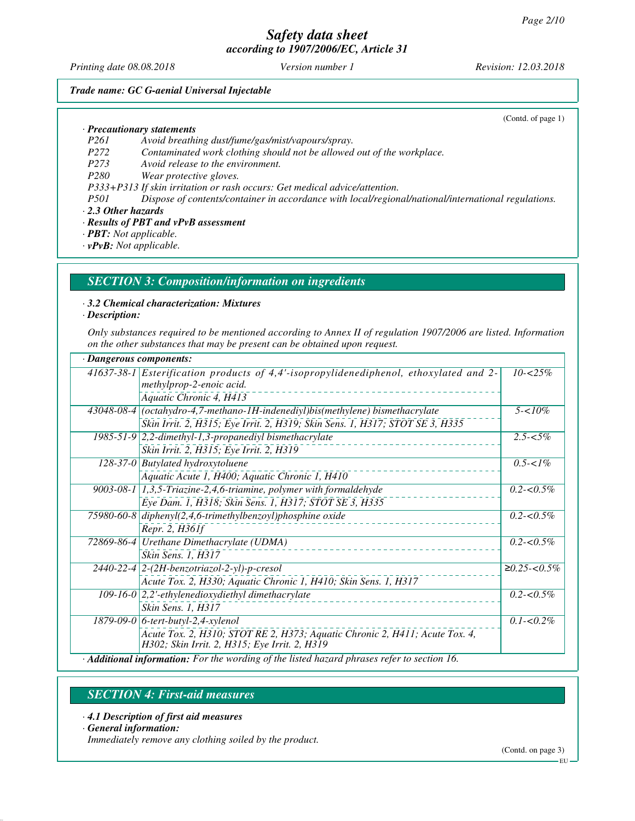*Printing date 08.08.2018 Version number 1 Revision: 12.03.2018*

(Contd. of page 1)

## *Trade name: GC G-aenial Universal Injectable*

*· Precautionary statements*

*P261 Avoid breathing dust/fume/gas/mist/vapours/spray.*

*P272 Contaminated work clothing should not be allowed out of the workplace.*

*P273 Avoid release to the environment.*

*P280 Wear protective gloves.*

*P333+P313 If skin irritation or rash occurs: Get medical advice/attention.*

*P501 Dispose of contents/container in accordance with local/regional/national/international regulations. · 2.3 Other hazards*

*· Results of PBT and vPvB assessment*

*· PBT: Not applicable.*

*· vPvB: Not applicable.*

## *SECTION 3: Composition/information on ingredients*

## *· 3.2 Chemical characterization: Mixtures*

*· Description:*

*Only substances required to be mentioned according to Annex II of regulation 1907/2006 are listed. Information on the other substances that may be present can be obtained upon request.*

| · Dangerous components:                                                                                                      |                           |  |
|------------------------------------------------------------------------------------------------------------------------------|---------------------------|--|
| 41637-38-1 Esterification products of 4,4'-isopropylidenediphenol, ethoxylated and 2-<br>methylprop-2-enoic acid.            | $10 - 25\%$               |  |
| Aquatic Chronic 4, H413                                                                                                      |                           |  |
| $43048-08-4$ (octahydro-4,7-methano-1H-indenediyl)bis(methylene) bismethacrylate                                             | $5 - 10\%$                |  |
| Skin Irrit. 2, H315; Eye Irrit. 2, H319; Skin Sens. 1, H317; STOT SE 3, H335                                                 |                           |  |
| $1985-51-9$ 2,2-dimethyl-1,3-propanediyl bismethacrylate                                                                     | $2.5 - 5\%$               |  |
| Skin Irrit. 2, H315; Eye Irrit. 2, H319                                                                                      |                           |  |
| 128-37-0 Butylated hydroxytoluene                                                                                            | $\overline{0.5}$ -< $1\%$ |  |
| Aquatic Acute 1, H400; Aquatic Chronic 1, H410                                                                               |                           |  |
| 9003-08-1   1,3,5-Triazine-2,4,6-triamine, polymer with formaldehyde                                                         | $0.2 - 0.5\%$             |  |
| Eye Dam. 1, H318; Skin Sens. 1, H317; STOT SE 3, H335                                                                        |                           |  |
| 75980-60-8 diphenyl(2,4,6-trimethylbenzoyl)phosphine oxide                                                                   | $0.2 - 0.5\%$             |  |
| Repr. 2, H361f                                                                                                               |                           |  |
| 72869-86-4   Urethane Dimethacrylate (UDMA)                                                                                  | $0.2 - 0.5\%$             |  |
| Skin Sens. 1, H317                                                                                                           |                           |  |
| $2440-22-4$ 2- $(2H$ -benzotriazol-2-yl)-p-cresol                                                                            | $≥0.25 < 0.5\%$           |  |
| Acute Tox. 2, H330; Aquatic Chronic 1, H410; Skin Sens. 1, H317                                                              |                           |  |
| 109-16-0 $ 2,2$ '-ethylenedioxydiethyl dimethacrylate                                                                        | $0.2 - 0.5\%$             |  |
| Skin Sens. 1, H317                                                                                                           |                           |  |
| $1879-09-0$ 6-tert-butyl-2,4-xylenol                                                                                         | $0.1 - 0.2\%$             |  |
| Acute Tox. 2, H310; STOT RE 2, H373; Aquatic Chronic 2, H411; Acute Tox. 4,<br>H302; Skin Irrit. 2, H315; Eye Irrit. 2, H319 |                           |  |
| · Additional information: For the wording of the listed hazard phrases refer to section 16.                                  |                           |  |

## *SECTION 4: First-aid measures*

- *· 4.1 Description of first aid measures*
- *· General information:*

*Immediately remove any clothing soiled by the product.*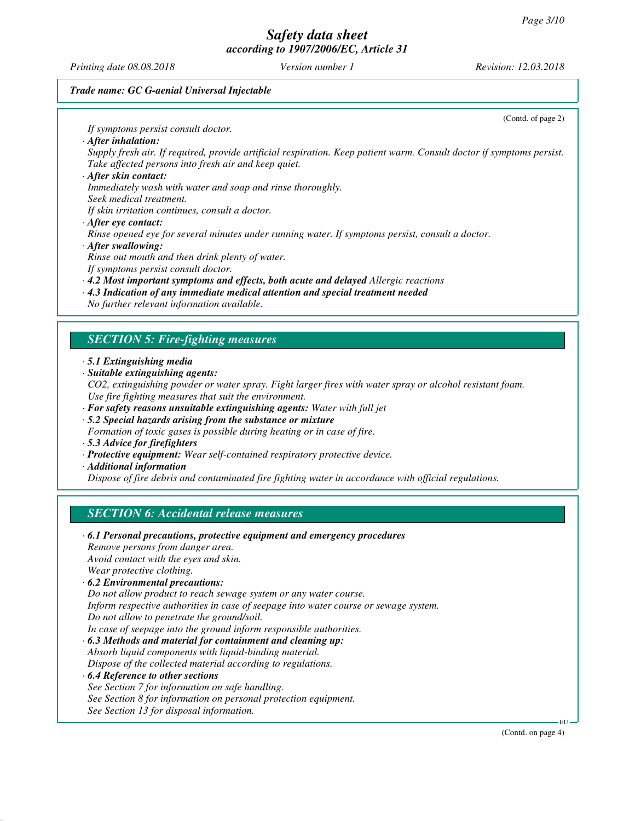*Printing date 08.08.2018 Version number 1 Revision: 12.03.2018*

(Contd. of page 2)

## *Trade name: GC G-aenial Universal Injectable*

*If symptoms persist consult doctor. · After inhalation: Supply fresh air. If required, provide artificial respiration. Keep patient warm. Consult doctor if symptoms persist. Take affected persons into fresh air and keep quiet. · After skin contact: Immediately wash with water and soap and rinse thoroughly. Seek medical treatment. If skin irritation continues, consult a doctor. · After eye contact: Rinse opened eye for several minutes under running water. If symptoms persist, consult a doctor. · After swallowing: Rinse out mouth and then drink plenty of water. If symptoms persist consult doctor. · 4.2 Most important symptoms and effects, both acute and delayed Allergic reactions · 4.3 Indication of any immediate medical attention and special treatment needed No further relevant information available. SECTION 5: Fire-fighting measures · 5.1 Extinguishing media · Suitable extinguishing agents: CO2, extinguishing powder or water spray. Fight larger fires with water spray or alcohol resistant foam. Use fire fighting measures that suit the environment. · For safety reasons unsuitable extinguishing agents: Water with full jet · 5.2 Special hazards arising from the substance or mixture Formation of toxic gases is possible during heating or in case of fire. · 5.3 Advice for firefighters · Protective equipment: Wear self-contained respiratory protective device. · Additional information Dispose of fire debris and contaminated fire fighting water in accordance with official regulations. SECTION 6: Accidental release measures · 6.1 Personal precautions, protective equipment and emergency procedures Remove persons from danger area. Avoid contact with the eyes and skin. Wear protective clothing. · 6.2 Environmental precautions: Do not allow product to reach sewage system or any water course. Inform respective authorities in case of seepage into water course or sewage system. Do not allow to penetrate the ground/soil. In case of seepage into the ground inform responsible authorities. · 6.3 Methods and material for containment and cleaning up: Absorb liquid components with liquid-binding material. Dispose of the collected material according to regulations. · 6.4 Reference to other sections See Section 7 for information on safe handling. See Section 8 for information on personal protection equipment. See Section 13 for disposal information.*

EU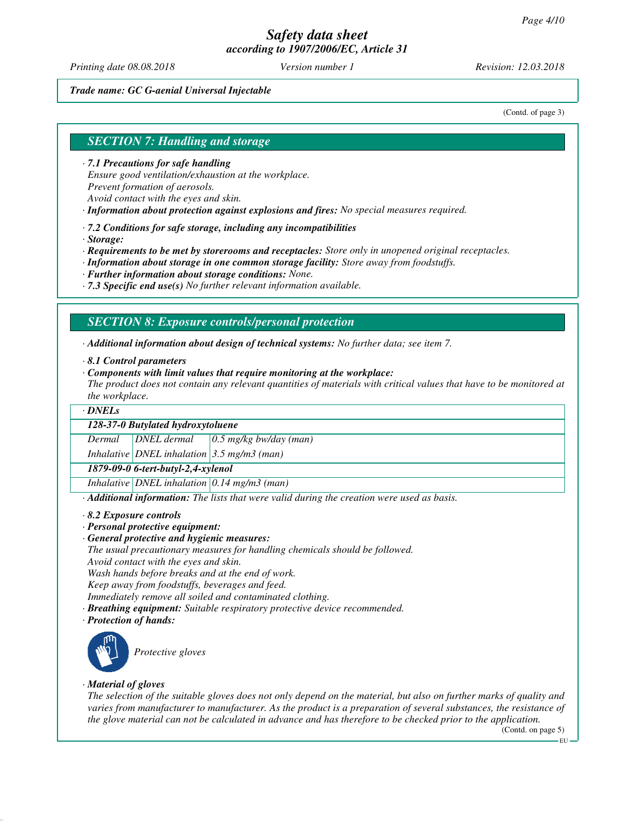*Printing date 08.08.2018 Version number 1 Revision: 12.03.2018*

## *Trade name: GC G-aenial Universal Injectable*

(Contd. of page 3)

## *SECTION 7: Handling and storage*

*· 7.1 Precautions for safe handling Ensure good ventilation/exhaustion at the workplace. Prevent formation of aerosols. Avoid contact with the eyes and skin.*

- *· Information about protection against explosions and fires: No special measures required.*
- *· 7.2 Conditions for safe storage, including any incompatibilities*
- *· Storage:*
- *· Requirements to be met by storerooms and receptacles: Store only in unopened original receptacles.*
- *· Information about storage in one common storage facility: Store away from foodstuffs.*
- *· Further information about storage conditions: None.*
- *· 7.3 Specific end use(s) No further relevant information available.*

## *SECTION 8: Exposure controls/personal protection*

- *· Additional information about design of technical systems: No further data; see item 7.*
- *· 8.1 Control parameters*
- *· Components with limit values that require monitoring at the workplace:*
- *The product does not contain any relevant quantities of materials with critical values that have to be monitored at the workplace.*

## *· DNELs*

## *128-37-0 Butylated hydroxytoluene*

*Dermal DNEL dermal 0.5 mg/kg bw/day (man)*

*Inhalative DNEL inhalation 3.5 mg/m3 (man)*

*1879-09-0 6-tert-butyl-2,4-xylenol*

*Inhalative DNEL inhalation 0.14 mg/m3 (man)*

*· Additional information: The lists that were valid during the creation were used as basis.*

- *· 8.2 Exposure controls*
- *· Personal protective equipment:*
- *· General protective and hygienic measures:*

*The usual precautionary measures for handling chemicals should be followed.*

*Avoid contact with the eyes and skin.*

*Wash hands before breaks and at the end of work.*

*Keep away from foodstuffs, beverages and feed.*

*Immediately remove all soiled and contaminated clothing.*

- *· Breathing equipment: Suitable respiratory protective device recommended.*
- *· Protection of hands:*



*Protective gloves*

## *· Material of gloves*

*The selection of the suitable gloves does not only depend on the material, but also on further marks of quality and varies from manufacturer to manufacturer. As the product is a preparation of several substances, the resistance of the glove material can not be calculated in advance and has therefore to be checked prior to the application.*

(Contd. on page 5)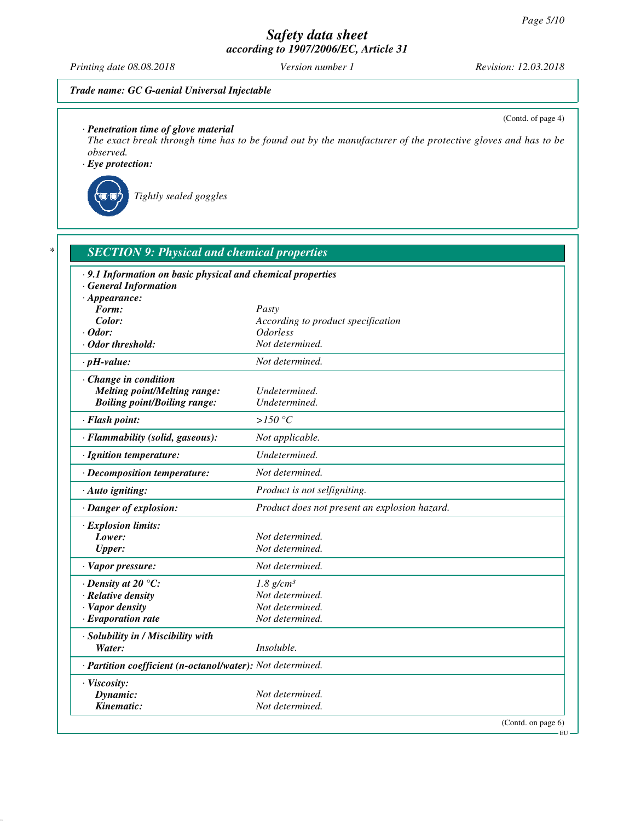*Printing date 08.08.2018 Version number 1 Revision: 12.03.2018*

(Contd. of page 4)

## *Trade name: GC G-aenial Universal Injectable*

*· Penetration time of glove material*

*The exact break through time has to be found out by the manufacturer of the protective gloves and has to be observed.*

*· Eye protection:*



*Tightly sealed goggles*

| .9.1 Information on basic physical and chemical properties<br>· General Information |                                               |
|-------------------------------------------------------------------------------------|-----------------------------------------------|
| $\cdot$ Appearance:<br>Form:                                                        | Pasty                                         |
| Color:                                                                              | According to product specification            |
| $\cdot$ Odor:                                                                       | <i><b>Odorless</b></i>                        |
| · Odor threshold:                                                                   | Not determined.                               |
| $\cdot$ pH-value:                                                                   | Not determined.                               |
| Change in condition                                                                 |                                               |
| <b>Melting point/Melting range:</b>                                                 | Undetermined.                                 |
| <b>Boiling point/Boiling range:</b>                                                 | Undetermined.                                 |
| · Flash point:                                                                      | $>150\text{ °C}$                              |
| · Flammability (solid, gaseous):                                                    | Not applicable.                               |
| · Ignition temperature:                                                             | Undetermined.                                 |
| · Decomposition temperature:                                                        | Not determined.                               |
| · Auto igniting:                                                                    | Product is not selfigniting.                  |
| · Danger of explosion:                                                              | Product does not present an explosion hazard. |
| · Explosion limits:                                                                 |                                               |
| Lower:                                                                              | Not determined.                               |
| <b>Upper:</b>                                                                       | Not determined.                               |
| · Vapor pressure:                                                                   | Not determined.                               |
| $\cdot$ Density at 20 $\degree$ C:                                                  | $1.8$ g/cm <sup>3</sup>                       |
| · Relative density                                                                  | Not determined.                               |
| · Vapor density                                                                     | Not determined.                               |
| $\cdot$ Evaporation rate                                                            | Not determined.                               |
| · Solubility in / Miscibility with                                                  |                                               |
| Water:                                                                              | Insoluble.                                    |
| · Partition coefficient (n-octanol/water): Not determined.                          |                                               |
| · Viscosity:                                                                        |                                               |
| Dynamic:                                                                            | Not determined.                               |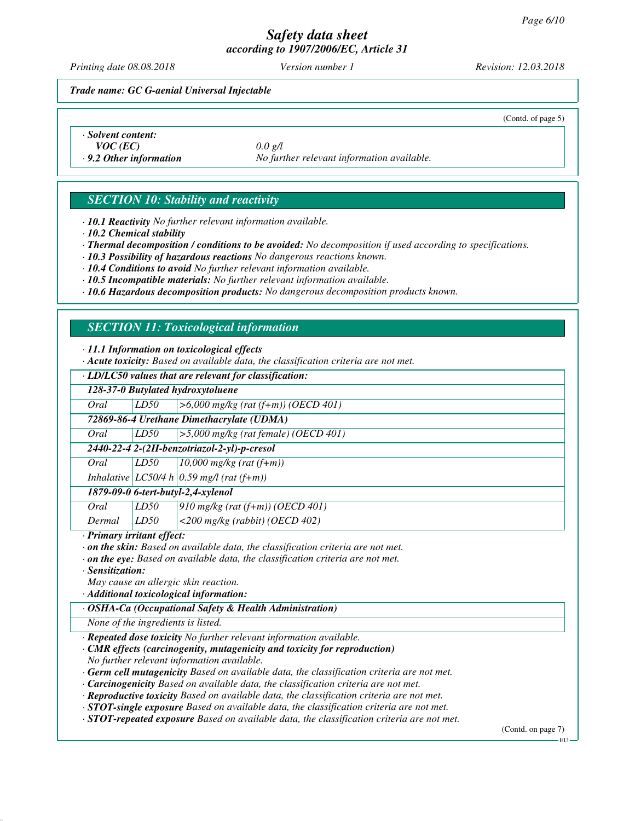*Printing date 08.08.2018 Version number 1 Revision: 12.03.2018*

(Contd. of page 5)

*Trade name: GC G-aenial Universal Injectable*

*· Solvent content: VOC (EC) 0.0 g/l*

*· 9.2 Other information No further relevant information available.*

# *SECTION 10: Stability and reactivity*

*· 10.1 Reactivity No further relevant information available.*

*· 10.2 Chemical stability*

*· Thermal decomposition / conditions to be avoided: No decomposition if used according to specifications.*

*· 10.3 Possibility of hazardous reactions No dangerous reactions known.*

*· 10.4 Conditions to avoid No further relevant information available.*

*· 10.5 Incompatible materials: No further relevant information available.*

*· 10.6 Hazardous decomposition products: No dangerous decomposition products known.*

# *SECTION 11: Toxicological information*

*· 11.1 Information on toxicological effects*

*· Acute toxicity: Based on available data, the classification criteria are not met.*

# *· LD/LC50 values that are relevant for classification:*

*128-37-0 Butylated hydroxytoluene Oral LD50 >6,000 mg/kg (rat (f+m)) (OECD 401)*

*72869-86-4 Urethane Dimethacrylate (UDMA)*

*Oral LD50 >5,000 mg/kg (rat female) (OECD 401)*

*2440-22-4 2-(2H-benzotriazol-2-yl)-p-cresol*

*Oral LD50 10,000 mg/kg (rat (f+m))*

*Inhalative LC50/4 h 0.59 mg/l (rat (f+m))*

*1879-09-0 6-tert-butyl-2,4-xylenol*

| Oral   | LD50 | 910 mg/kg (rat $(\overline{f+m})$ ) (OECD 401) |
|--------|------|------------------------------------------------|
| Dermal | LD50 | $\vert$ <200 mg/kg (rabbit) (OECD 402)         |

*· Primary irritant effect:*

*· on the skin: Based on available data, the classification criteria are not met.*

*· on the eye: Based on available data, the classification criteria are not met.*

*· Sensitization:*

*May cause an allergic skin reaction.*

*· Additional toxicological information:*

## *· OSHA-Ca (Occupational Safety & Health Administration)*

*None of the ingredients is listed.*

*· Repeated dose toxicity No further relevant information available.*

*· CMR effects (carcinogenity, mutagenicity and toxicity for reproduction) No further relevant information available.*

*· Germ cell mutagenicity Based on available data, the classification criteria are not met.*

*· Carcinogenicity Based on available data, the classification criteria are not met.*

*· Reproductive toxicity Based on available data, the classification criteria are not met.*

*· STOT-single exposure Based on available data, the classification criteria are not met.*

*· STOT-repeated exposure Based on available data, the classification criteria are not met.*

(Contd. on page 7)

EU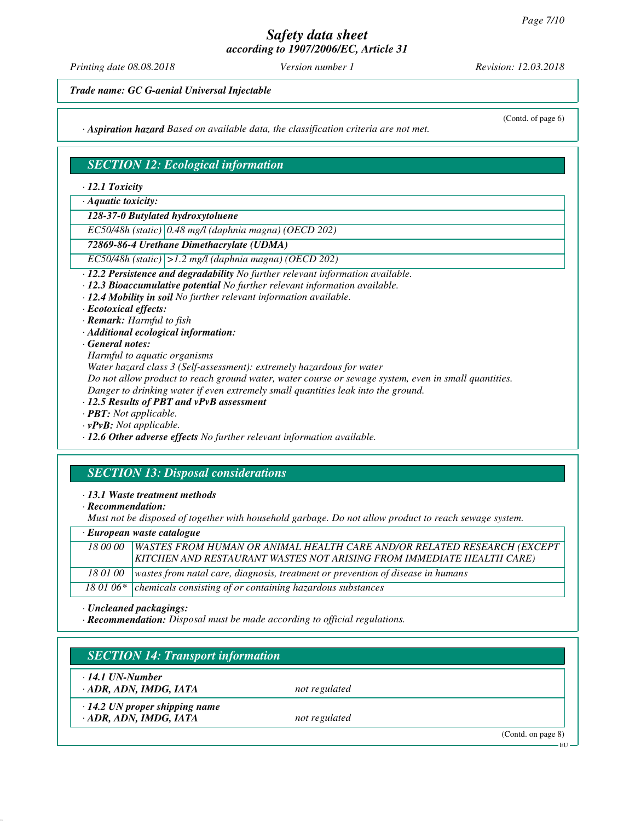*Printing date 08.08.2018 Version number 1 Revision: 12.03.2018*

(Contd. of page 6)

*Trade name: GC G-aenial Universal Injectable*

*· Aspiration hazard Based on available data, the classification criteria are not met.*

# *SECTION 12: Ecological information*

*· 12.1 Toxicity*

*· Aquatic toxicity:*

*128-37-0 Butylated hydroxytoluene*

*EC50/48h (static) 0.48 mg/l (daphnia magna) (OECD 202)*

## *72869-86-4 Urethane Dimethacrylate (UDMA)*

*EC50/48h (static) >1.2 mg/l (daphnia magna) (OECD 202)*

*· 12.2 Persistence and degradability No further relevant information available.*

- *· 12.3 Bioaccumulative potential No further relevant information available.*
- *· 12.4 Mobility in soil No further relevant information available.*

*· Ecotoxical effects:*

*· Remark: Harmful to fish*

*· Additional ecological information:*

*· General notes:*

*Harmful to aquatic organisms*

*Water hazard class 3 (Self-assessment): extremely hazardous for water*

*Do not allow product to reach ground water, water course or sewage system, even in small quantities.*

*Danger to drinking water if even extremely small quantities leak into the ground.*

*· 12.5 Results of PBT and vPvB assessment*

*· PBT: Not applicable.*

*· vPvB: Not applicable.*

*· 12.6 Other adverse effects No further relevant information available.*

# *SECTION 13: Disposal considerations*

- *· 13.1 Waste treatment methods*
- *· Recommendation:*

*Must not be disposed of together with household garbage. Do not allow product to reach sewage system.*

*· European waste catalogue*

| 18.00.00 | <b>WASTES FROM HUMAN OR ANIMAL HEALTH CARE AND/OR RELATED RESEARCH (EXCEPT</b>             |
|----------|--------------------------------------------------------------------------------------------|
|          | KITCHEN AND RESTAURANT WASTES NOT ARISING FROM IMMEDIATE HEALTH CARE)                      |
|          | 18 01 00   wastes from natal care, diagnosis, treatment or prevention of disease in humans |
|          | 18 01 06* chemicals consisting of or containing hazardous substances                       |

## *· Uncleaned packagings:*

*· Recommendation: Disposal must be made according to official regulations.*

| $\cdot$ 14.1 UN-Number               |               |  |
|--------------------------------------|---------------|--|
| ADR, ADN, IMDG, IATA                 | not regulated |  |
| $\cdot$ 14.2 UN proper shipping name |               |  |
| · ADR, ADN, IMDG, IATA               | not regulated |  |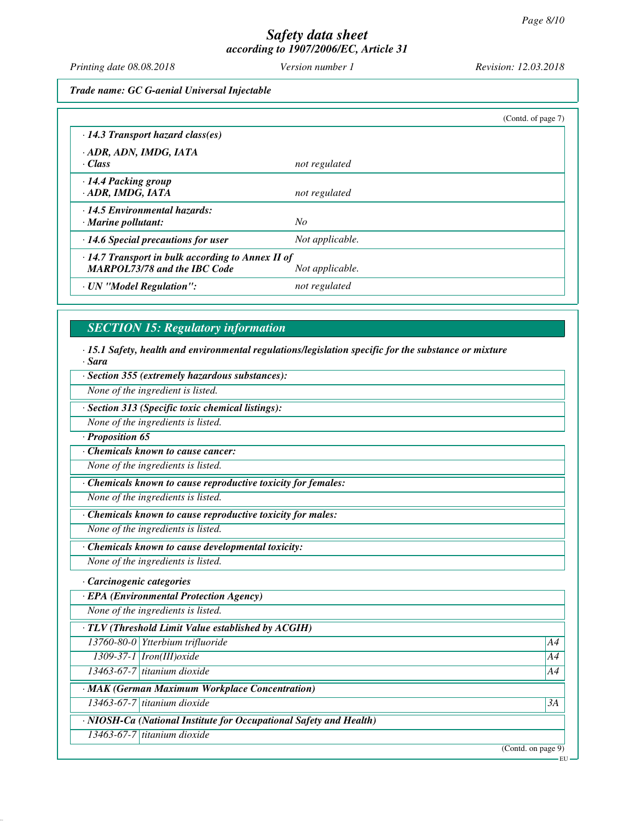*Printing date 08.08.2018 Version number 1 Revision: 12.03.2018*

*Trade name: GC G-aenial Universal Injectable*

|                                                                                                                   |                 | (Contd. of page 7) |
|-------------------------------------------------------------------------------------------------------------------|-----------------|--------------------|
| $\cdot$ 14.3 Transport hazard class(es)                                                                           |                 |                    |
| · ADR, ADN, IMDG, IATA<br>· Class                                                                                 | not regulated   |                    |
| · 14.4 Packing group<br>· ADR, IMDG, IATA                                                                         | not regulated   |                    |
| $\cdot$ 14.5 Environmental hazards:<br>$\cdot$ Marine pollutant:                                                  | $N_{O}$         |                    |
| $\cdot$ 14.6 Special precautions for user                                                                         | Not applicable. |                    |
| $\cdot$ 14.7 Transport in bulk according to Annex II of<br><b>MARPOL73/78 and the IBC Code</b><br>Not applicable. |                 |                    |
| · UN "Model Regulation":                                                                                          | not regulated   |                    |

# *SECTION 15: Regulatory information*

*· 15.1 Safety, health and environmental regulations/legislation specific for the substance or mixture · Sara*

*· Section 355 (extremely hazardous substances):*

*None of the ingredient is listed.*

*· Section 313 (Specific toxic chemical listings):*

*None of the ingredients is listed.*

*· Proposition 65*

*· Chemicals known to cause cancer:*

*None of the ingredients is listed.*

*· Chemicals known to cause reproductive toxicity for females:*

*None of the ingredients is listed.*

*· Chemicals known to cause reproductive toxicity for males:*

*None of the ingredients is listed.*

*· Chemicals known to cause developmental toxicity:*

*None of the ingredients is listed.*

*· Carcinogenic categories*

*· EPA (Environmental Protection Agency)*

*None of the ingredients is listed.*

*· TLV (Threshold Limit Value established by ACGIH)*

*13760-80-0 Ytterbium trifluoride A4*

*1309-37-1 Iron(III)oxide A4 13463-67-7 titanium dioxide A4*

*· MAK (German Maximum Workplace Concentration)*

*13463-67-7 titanium dioxide 3A*

*· NIOSH-Ca (National Institute for Occupational Safety and Health)*

*13463-67-7 titanium dioxide*

(Contd. on page 9)

EU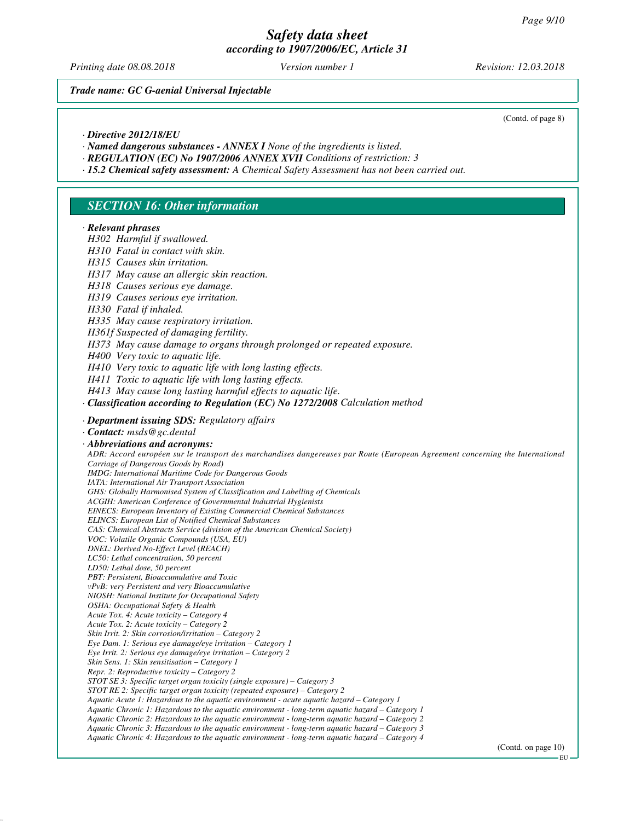*Printing date 08.08.2018 Version number 1 Revision: 12.03.2018*

*Trade name: GC G-aenial Universal Injectable*

(Contd. of page 8)

- *· Directive 2012/18/EU*
- *· Named dangerous substances ANNEX I None of the ingredients is listed.*
- *· REGULATION (EC) No 1907/2006 ANNEX XVII Conditions of restriction: 3*
- *· 15.2 Chemical safety assessment: A Chemical Safety Assessment has not been carried out.*

## *SECTION 16: Other information*

#### *· Relevant phrases*

*H302 Harmful if swallowed.*

- *H310 Fatal in contact with skin.*
- *H315 Causes skin irritation.*
- *H317 May cause an allergic skin reaction.*
- *H318 Causes serious eye damage.*
- *H319 Causes serious eye irritation.*
- *H330 Fatal if inhaled.*
- *H335 May cause respiratory irritation.*
- *H361f Suspected of damaging fertility.*
- *H373 May cause damage to organs through prolonged or repeated exposure.*
- *H400 Very toxic to aquatic life.*
- *H410 Very toxic to aquatic life with long lasting effects.*
- *H411 Toxic to aquatic life with long lasting effects.*
- *H413 May cause long lasting harmful effects to aquatic life.*
- *· Classification according to Regulation (EC) No 1272/2008 Calculation method*
- *· Department issuing SDS: Regulatory affairs*
- *· Contact: msds@gc.dental*
- *· Abbreviations and acronyms:*

*ADR: Accord européen sur le transport des marchandises dangereuses par Route (European Agreement concerning the International Carriage of Dangerous Goods by Road) IMDG: International Maritime Code for Dangerous Goods IATA: International Air Transport Association GHS: Globally Harmonised System of Classification and Labelling of Chemicals ACGIH: American Conference of Governmental Industrial Hygienists*

*EINECS: European Inventory of Existing Commercial Chemical Substances*

*ELINCS: European List of Notified Chemical Substances*

- *CAS: Chemical Abstracts Service (division of the American Chemical Society)*
- *VOC: Volatile Organic Compounds (USA, EU)*
- *DNEL: Derived No-Effect Level (REACH)*
- *LC50: Lethal concentration, 50 percent*
- *LD50: Lethal dose, 50 percent*
- *PBT: Persistent, Bioaccumulative and Toxic*
- *vPvB: very Persistent and very Bioaccumulative NIOSH: National Institute for Occupational Safety*
- *OSHA: Occupational Safety & Health*
- *Acute Tox. 4: Acute toxicity Category 4*
- *Acute Tox. 2: Acute toxicity Category 2*
- *Skin Irrit. 2: Skin corrosion/irritation Category 2*
- *Eye Dam. 1: Serious eye damage/eye irritation Category 1*
- *Eye Irrit. 2: Serious eye damage/eye irritation Category 2*
- *Skin Sens. 1: Skin sensitisation Category 1*
- *Repr. 2: Reproductive toxicity Category 2*
- *STOT SE 3: Specific target organ toxicity (single exposure) Category 3*
- *STOT RE 2: Specific target organ toxicity (repeated exposure) Category 2*
- *Aquatic Acute 1: Hazardous to the aquatic environment acute aquatic hazard Category 1*
- *Aquatic Chronic 1: Hazardous to the aquatic environment long-term aquatic hazard Category 1*
	- *Aquatic Chronic 2: Hazardous to the aquatic environment long-term aquatic hazard Category 2*
	- *Aquatic Chronic 3: Hazardous to the aquatic environment long-term aquatic hazard Category 3*
	- *Aquatic Chronic 4: Hazardous to the aquatic environment long-term aquatic hazard Category 4*

EU